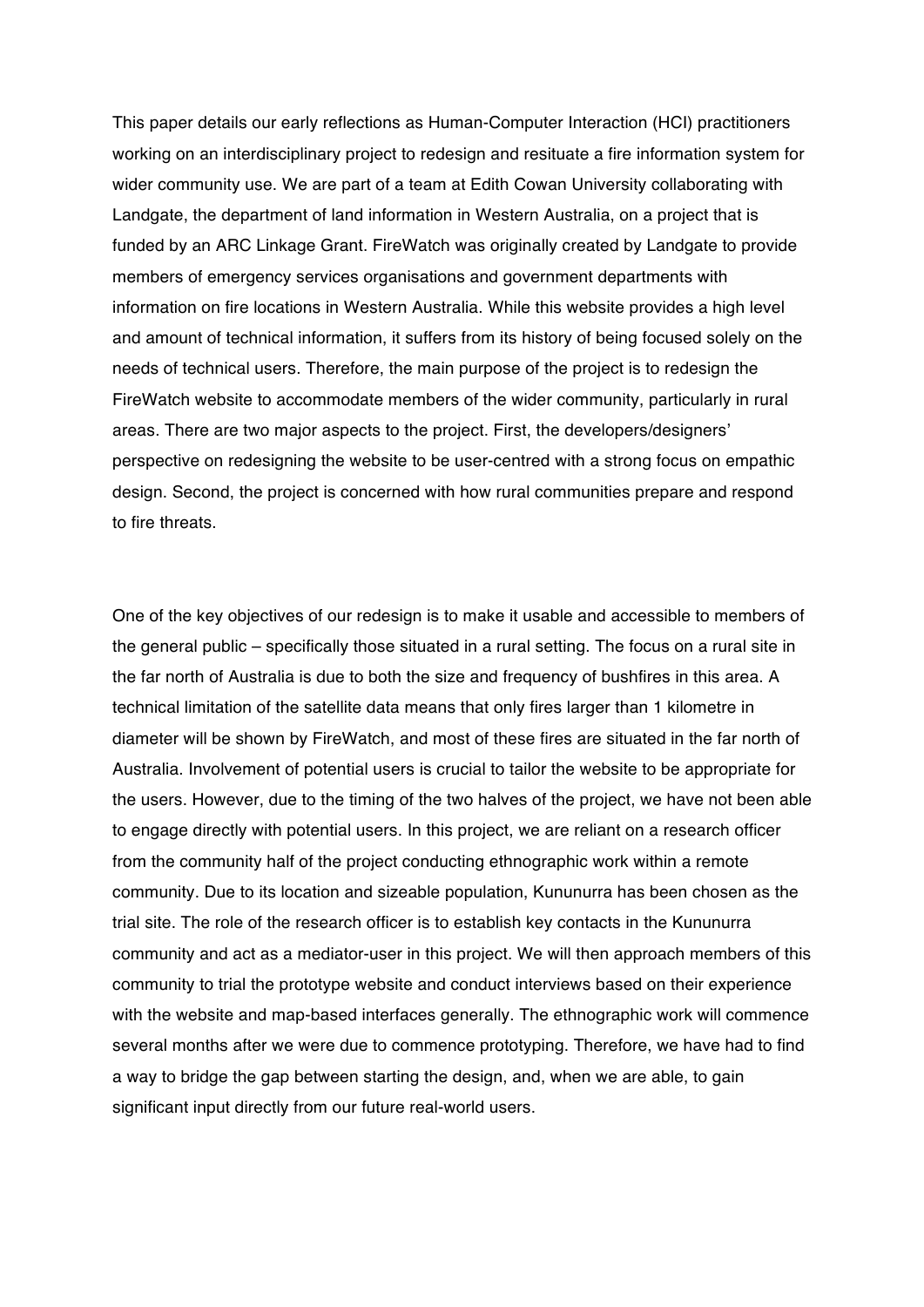This paper details our early reflections as Human-Computer Interaction (HCI) practitioners working on an interdisciplinary project to redesign and resituate a fire information system for wider community use. We are part of a team at Edith Cowan University collaborating with Landgate, the department of land information in Western Australia, on a project that is funded by an ARC Linkage Grant. FireWatch was originally created by Landgate to provide members of emergency services organisations and government departments with information on fire locations in Western Australia. While this website provides a high level and amount of technical information, it suffers from its history of being focused solely on the needs of technical users. Therefore, the main purpose of the project is to redesign the FireWatch website to accommodate members of the wider community, particularly in rural areas. There are two major aspects to the project. First, the developers/designers' perspective on redesigning the website to be user-centred with a strong focus on empathic design. Second, the project is concerned with how rural communities prepare and respond to fire threats.

One of the key objectives of our redesign is to make it usable and accessible to members of the general public – specifically those situated in a rural setting. The focus on a rural site in the far north of Australia is due to both the size and frequency of bushfires in this area. A technical limitation of the satellite data means that only fires larger than 1 kilometre in diameter will be shown by FireWatch, and most of these fires are situated in the far north of Australia. Involvement of potential users is crucial to tailor the website to be appropriate for the users. However, due to the timing of the two halves of the project, we have not been able to engage directly with potential users. In this project, we are reliant on a research officer from the community half of the project conducting ethnographic work within a remote community. Due to its location and sizeable population, Kununurra has been chosen as the trial site. The role of the research officer is to establish key contacts in the Kununurra community and act as a mediator-user in this project. We will then approach members of this community to trial the prototype website and conduct interviews based on their experience with the website and map-based interfaces generally. The ethnographic work will commence several months after we were due to commence prototyping. Therefore, we have had to find a way to bridge the gap between starting the design, and, when we are able, to gain significant input directly from our future real-world users.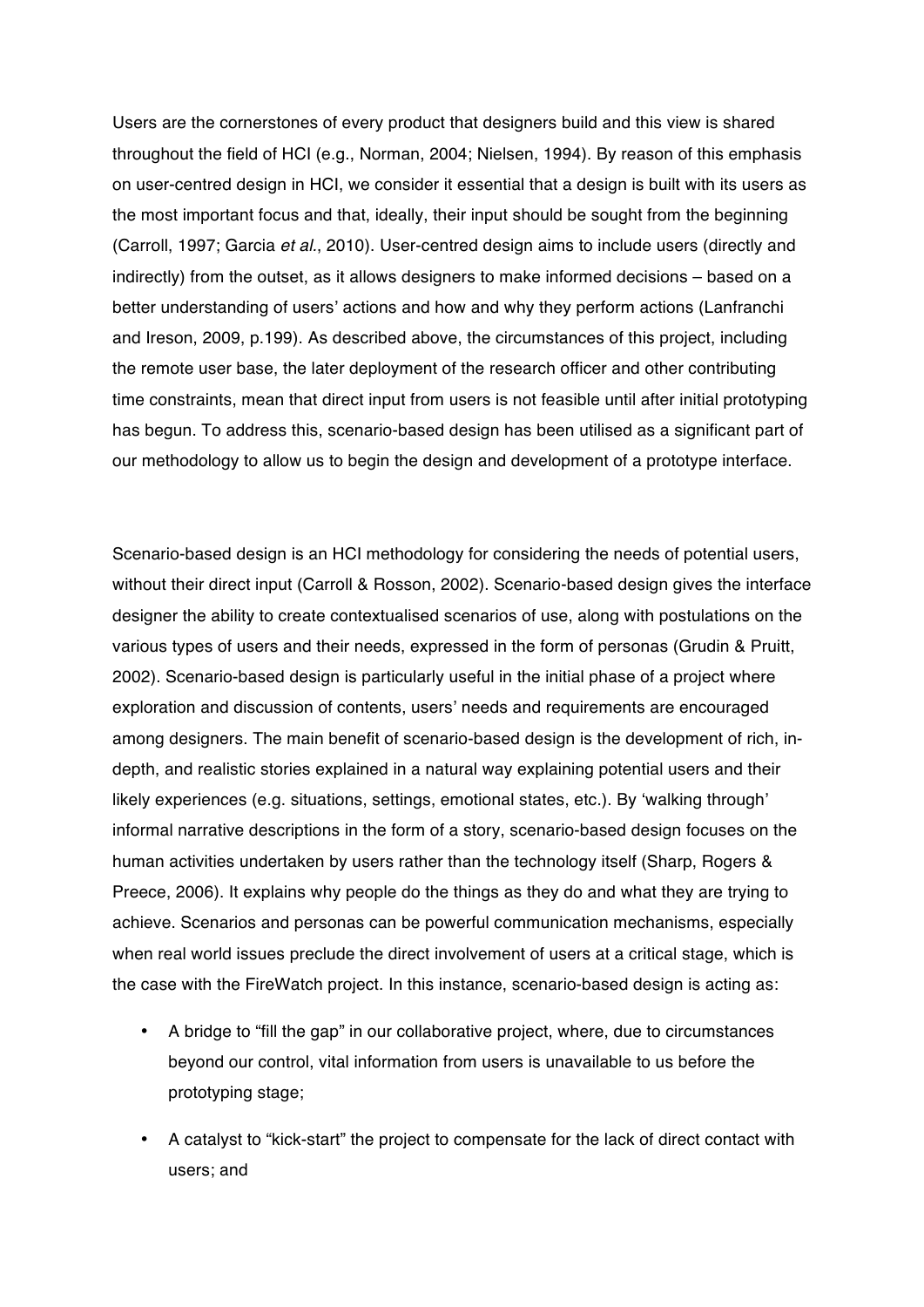Users are the cornerstones of every product that designers build and this view is shared throughout the field of HCI (e.g., Norman, 2004; Nielsen, 1994). By reason of this emphasis on user-centred design in HCI, we consider it essential that a design is built with its users as the most important focus and that, ideally, their input should be sought from the beginning (Carroll, 1997; Garcia *et al.*, 2010). User-centred design aims to include users (directly and indirectly) from the outset, as it allows designers to make informed decisions – based on a better understanding of users' actions and how and why they perform actions (Lanfranchi and Ireson, 2009, p.199). As described above, the circumstances of this project, including the remote user base, the later deployment of the research officer and other contributing time constraints, mean that direct input from users is not feasible until after initial prototyping has begun. To address this, scenario-based design has been utilised as a significant part of our methodology to allow us to begin the design and development of a prototype interface.

Scenario-based design is an HCI methodology for considering the needs of potential users, without their direct input (Carroll & Rosson, 2002). Scenario-based design gives the interface designer the ability to create contextualised scenarios of use, along with postulations on the various types of users and their needs, expressed in the form of personas (Grudin & Pruitt, 2002). Scenario-based design is particularly useful in the initial phase of a project where exploration and discussion of contents, users' needs and requirements are encouraged among designers. The main benefit of scenario-based design is the development of rich, indepth, and realistic stories explained in a natural way explaining potential users and their likely experiences (e.g. situations, settings, emotional states, etc.). By 'walking through' informal narrative descriptions in the form of a story, scenario-based design focuses on the human activities undertaken by users rather than the technology itself (Sharp, Rogers & Preece, 2006). It explains why people do the things as they do and what they are trying to achieve. Scenarios and personas can be powerful communication mechanisms, especially when real world issues preclude the direct involvement of users at a critical stage, which is the case with the FireWatch project. In this instance, scenario-based design is acting as:

- A bridge to "fill the gap" in our collaborative project, where, due to circumstances beyond our control, vital information from users is unavailable to us before the prototyping stage;
- A catalyst to "kick-start" the project to compensate for the lack of direct contact with users; and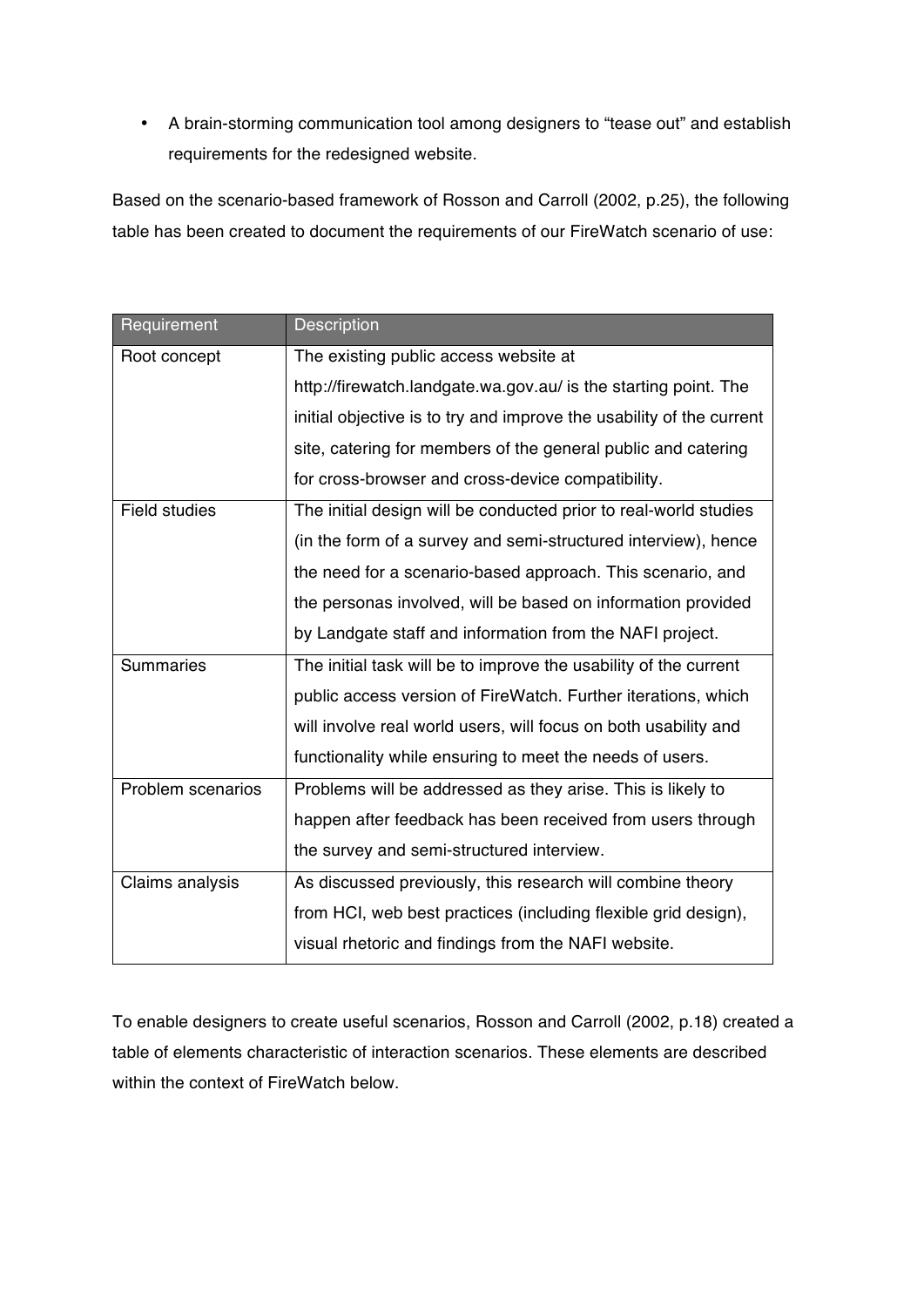• A brain-storming communication tool among designers to "tease out" and establish requirements for the redesigned website.

Based on the scenario-based framework of Rosson and Carroll (2002, p.25), the following table has been created to document the requirements of our FireWatch scenario of use:

| Requirement          | <b>Description</b>                                                   |  |  |  |  |  |  |
|----------------------|----------------------------------------------------------------------|--|--|--|--|--|--|
| Root concept         | The existing public access website at                                |  |  |  |  |  |  |
|                      | http://firewatch.landgate.wa.gov.au/ is the starting point. The      |  |  |  |  |  |  |
|                      | initial objective is to try and improve the usability of the current |  |  |  |  |  |  |
|                      | site, catering for members of the general public and catering        |  |  |  |  |  |  |
|                      | for cross-browser and cross-device compatibility.                    |  |  |  |  |  |  |
| <b>Field studies</b> | The initial design will be conducted prior to real-world studies     |  |  |  |  |  |  |
|                      | (in the form of a survey and semi-structured interview), hence       |  |  |  |  |  |  |
|                      | the need for a scenario-based approach. This scenario, and           |  |  |  |  |  |  |
|                      | the personas involved, will be based on information provided         |  |  |  |  |  |  |
|                      | by Landgate staff and information from the NAFI project.             |  |  |  |  |  |  |
| <b>Summaries</b>     | The initial task will be to improve the usability of the current     |  |  |  |  |  |  |
|                      | public access version of FireWatch. Further iterations, which        |  |  |  |  |  |  |
|                      | will involve real world users, will focus on both usability and      |  |  |  |  |  |  |
|                      | functionality while ensuring to meet the needs of users.             |  |  |  |  |  |  |
| Problem scenarios    | Problems will be addressed as they arise. This is likely to          |  |  |  |  |  |  |
|                      | happen after feedback has been received from users through           |  |  |  |  |  |  |
|                      | the survey and semi-structured interview.                            |  |  |  |  |  |  |
| Claims analysis      | As discussed previously, this research will combine theory           |  |  |  |  |  |  |
|                      | from HCI, web best practices (including flexible grid design),       |  |  |  |  |  |  |
|                      | visual rhetoric and findings from the NAFI website.                  |  |  |  |  |  |  |

To enable designers to create useful scenarios, Rosson and Carroll (2002, p.18) created a table of elements characteristic of interaction scenarios. These elements are described within the context of FireWatch below.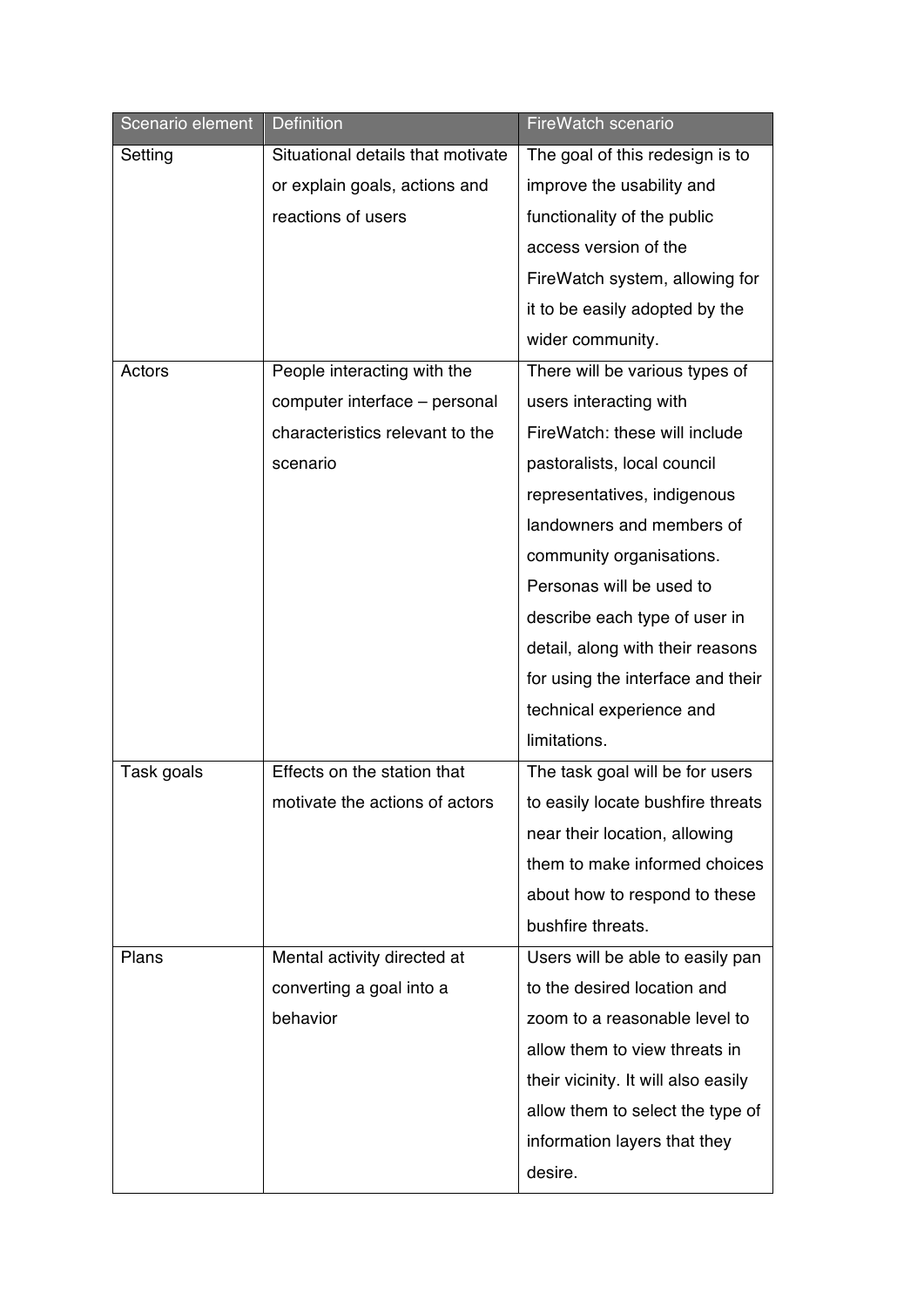| Scenario element | <b>Definition</b>                 | FireWatch scenario                  |
|------------------|-----------------------------------|-------------------------------------|
| Setting          | Situational details that motivate | The goal of this redesign is to     |
|                  | or explain goals, actions and     | improve the usability and           |
|                  | reactions of users                | functionality of the public         |
|                  |                                   | access version of the               |
|                  |                                   | FireWatch system, allowing for      |
|                  |                                   | it to be easily adopted by the      |
|                  |                                   | wider community.                    |
| Actors           | People interacting with the       | There will be various types of      |
|                  | computer interface - personal     | users interacting with              |
|                  | characteristics relevant to the   | FireWatch: these will include       |
|                  | scenario                          | pastoralists, local council         |
|                  |                                   | representatives, indigenous         |
|                  |                                   | landowners and members of           |
|                  |                                   | community organisations.            |
|                  |                                   | Personas will be used to            |
|                  |                                   | describe each type of user in       |
|                  |                                   | detail, along with their reasons    |
|                  |                                   | for using the interface and their   |
|                  |                                   | technical experience and            |
|                  |                                   | limitations.                        |
| Task goals       | Effects on the station that       | The task goal will be for users     |
|                  | motivate the actions of actors    | to easily locate bushfire threats   |
|                  |                                   | near their location, allowing       |
|                  |                                   | them to make informed choices       |
|                  |                                   | about how to respond to these       |
|                  |                                   | bushfire threats.                   |
| Plans            | Mental activity directed at       | Users will be able to easily pan    |
|                  | converting a goal into a          | to the desired location and         |
|                  | behavior                          | zoom to a reasonable level to       |
|                  |                                   | allow them to view threats in       |
|                  |                                   | their vicinity. It will also easily |
|                  |                                   | allow them to select the type of    |
|                  |                                   | information layers that they        |
|                  |                                   | desire.                             |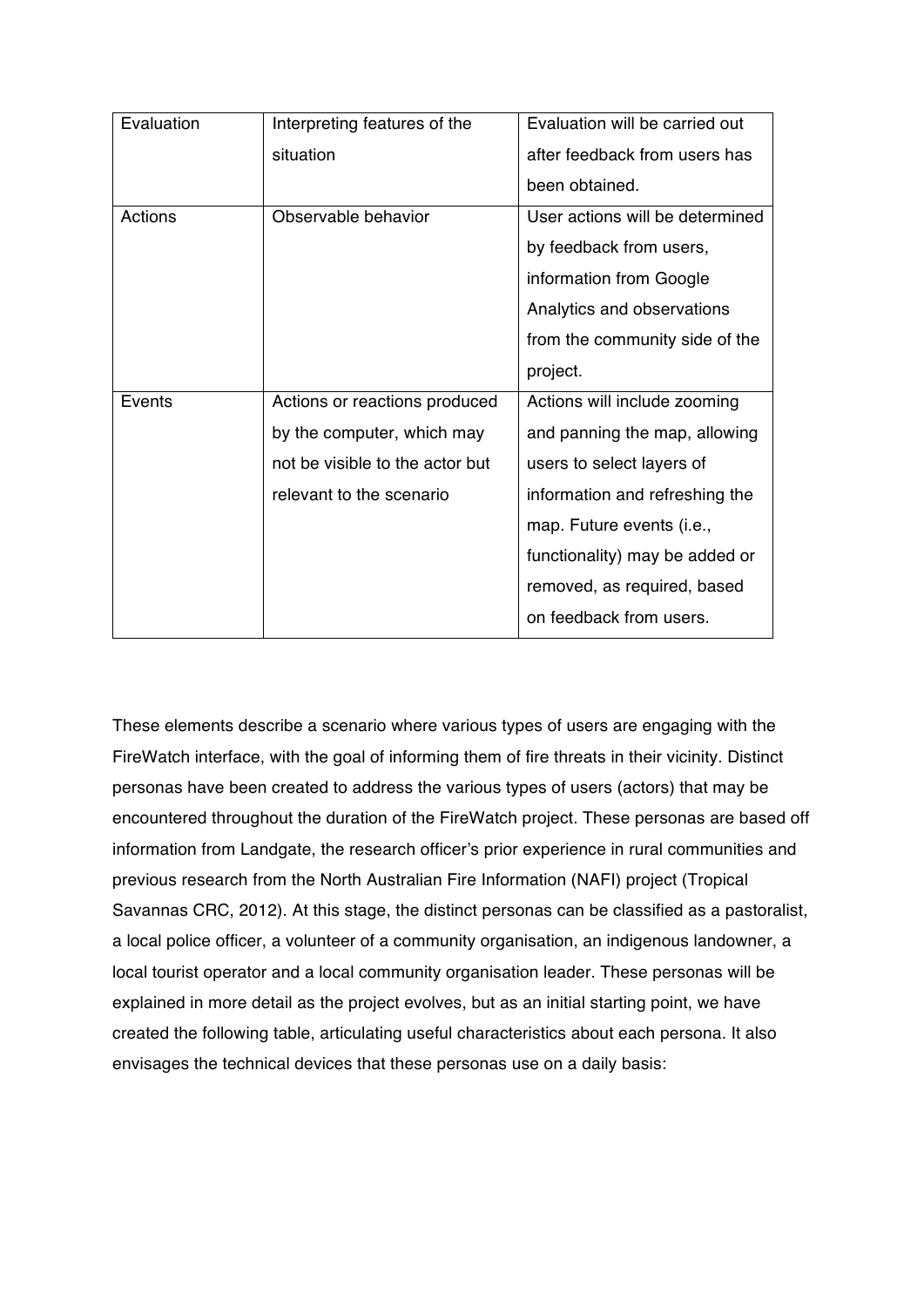| Evaluation | Interpreting features of the    | Evaluation will be carried out  |  |  |
|------------|---------------------------------|---------------------------------|--|--|
|            | situation                       | after feedback from users has   |  |  |
|            |                                 | been obtained.                  |  |  |
| Actions    | Observable behavior             | User actions will be determined |  |  |
|            |                                 | by feedback from users,         |  |  |
|            |                                 | information from Google         |  |  |
|            |                                 | Analytics and observations      |  |  |
|            |                                 | from the community side of the  |  |  |
|            |                                 | project.                        |  |  |
| Events     | Actions or reactions produced   | Actions will include zooming    |  |  |
|            | by the computer, which may      | and panning the map, allowing   |  |  |
|            | not be visible to the actor but | users to select layers of       |  |  |
|            | relevant to the scenario        | information and refreshing the  |  |  |
|            |                                 | map. Future events (i.e.,       |  |  |
|            |                                 | functionality) may be added or  |  |  |
|            |                                 | removed, as required, based     |  |  |
|            |                                 | on feedback from users.         |  |  |

These elements describe a scenario where various types of users are engaging with the FireWatch interface, with the goal of informing them of fire threats in their vicinity. Distinct personas have been created to address the various types of users (actors) that may be encountered throughout the duration of the FireWatch project. These personas are based off information from Landgate, the research officer's prior experience in rural communities and previous research from the North Australian Fire Information (NAFI) project (Tropical Savannas CRC, 2012). At this stage, the distinct personas can be classified as a pastoralist, a local police officer, a volunteer of a community organisation, an indigenous landowner, a local tourist operator and a local community organisation leader. These personas will be explained in more detail as the project evolves, but as an initial starting point, we have created the following table, articulating useful characteristics about each persona. It also envisages the technical devices that these personas use on a daily basis: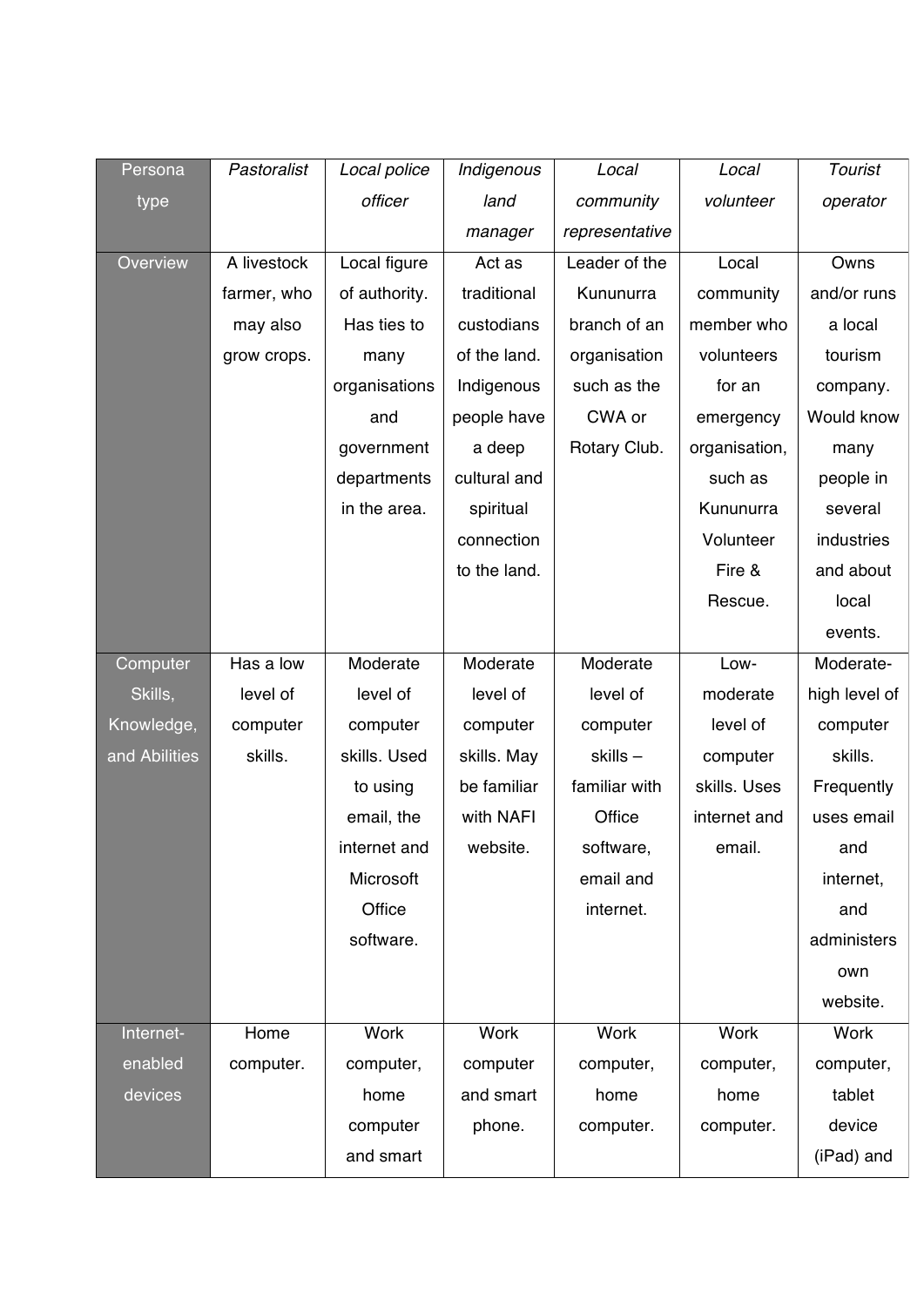| Persona       | Pastoralist | Local police  | Indigenous   | Local          | Local         | Tourist       |
|---------------|-------------|---------------|--------------|----------------|---------------|---------------|
| type          |             | officer       | land         | community      | volunteer     | operator      |
|               |             |               | manager      | representative |               |               |
| Overview      | A livestock | Local figure  | Act as       | Leader of the  | Local         | Owns          |
|               | farmer, who | of authority. | traditional  | Kununurra      | community     | and/or runs   |
|               | may also    | Has ties to   | custodians   | branch of an   | member who    | a local       |
|               | grow crops. | many          | of the land. | organisation   | volunteers    | tourism       |
|               |             | organisations | Indigenous   | such as the    | for an        | company.      |
|               |             | and           | people have  | CWA or         | emergency     | Would know    |
|               |             | government    | a deep       | Rotary Club.   | organisation, | many          |
|               |             | departments   | cultural and |                | such as       | people in     |
|               |             | in the area.  | spiritual    |                | Kununurra     | several       |
|               |             |               | connection   |                | Volunteer     | industries    |
|               |             |               | to the land. |                | Fire &        | and about     |
|               |             |               |              |                | Rescue.       | local         |
|               |             |               |              |                |               | events.       |
| Computer      | Has a low   | Moderate      | Moderate     | Moderate       | Low-          | Moderate-     |
| Skills,       | level of    | level of      | level of     | level of       | moderate      | high level of |
| Knowledge,    | computer    | computer      | computer     | computer       | level of      | computer      |
| and Abilities | skills.     | skills. Used  | skills. May  | skills-        | computer      | skills.       |
|               |             | to using      | be familiar  | familiar with  | skills. Uses  | Frequently    |
|               |             | email, the    | with NAFI    | Office         | internet and  | uses email    |
|               |             | internet and  | website      | software,      | email.        | and           |
|               |             | Microsoft     |              | email and      |               | internet,     |
|               |             | Office        |              | internet.      |               | and           |
|               |             | software.     |              |                |               | administers   |
|               |             |               |              |                |               | own           |
|               |             |               |              |                |               | website.      |
| Internet-     | Home        | <b>Work</b>   | <b>Work</b>  | <b>Work</b>    | Work          | <b>Work</b>   |
| enabled       | computer.   | computer,     | computer     | computer,      | computer,     | computer,     |
| devices       |             | home          | and smart    | home           | home          | tablet        |
|               |             | computer      | phone.       | computer.      | computer.     | device        |
|               |             | and smart     |              |                |               | (iPad) and    |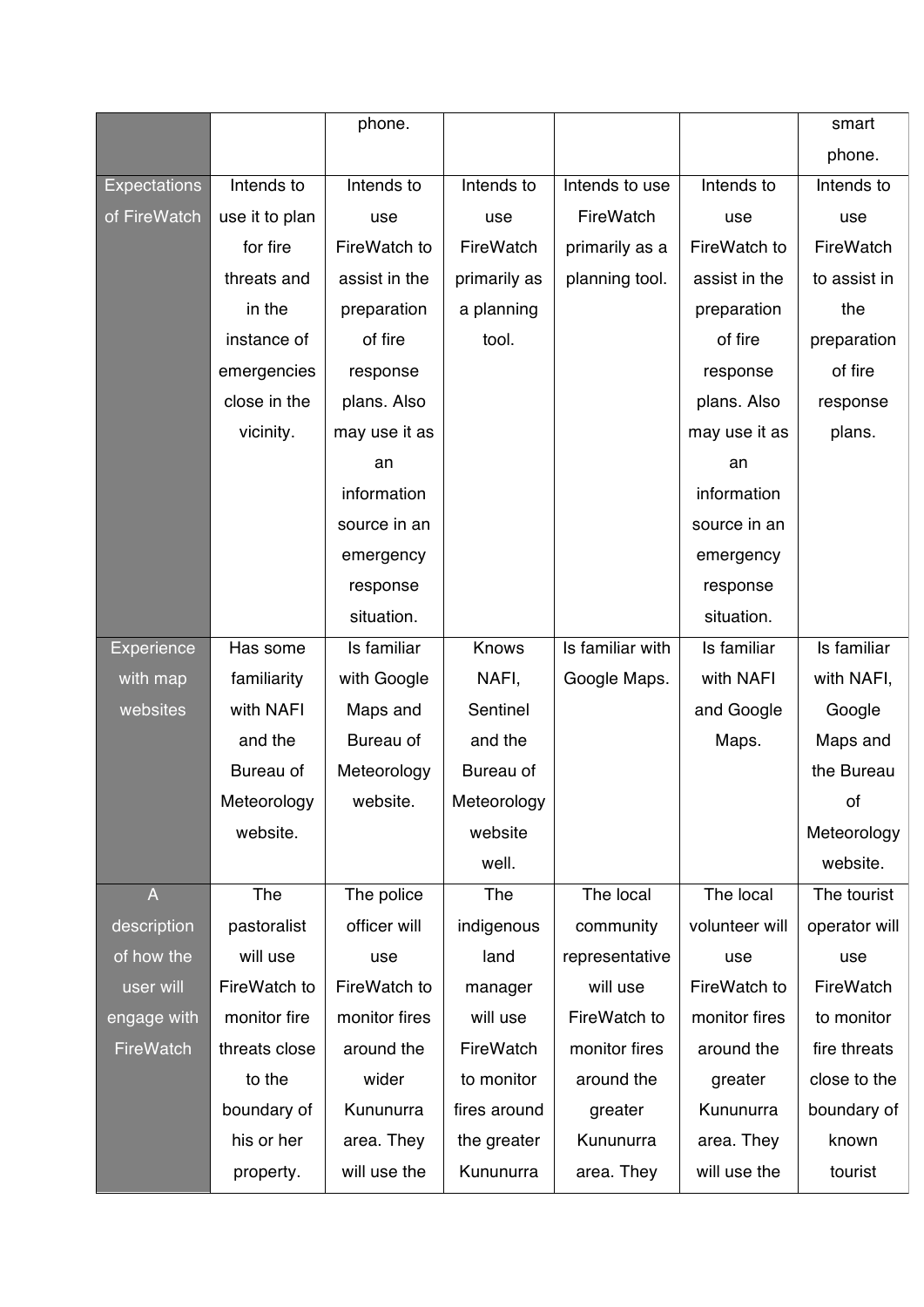|                     |                | phone.        |              |                  |                | smart         |
|---------------------|----------------|---------------|--------------|------------------|----------------|---------------|
|                     |                |               |              |                  |                | phone.        |
| <b>Expectations</b> | Intends to     | Intends to    | Intends to   | Intends to use   | Intends to     | Intends to    |
| of FireWatch        | use it to plan | use           | use          | FireWatch        | use            | use           |
|                     | for fire       | FireWatch to  | FireWatch    | primarily as a   | FireWatch to   | FireWatch     |
|                     | threats and    | assist in the | primarily as | planning tool.   | assist in the  | to assist in  |
|                     | in the         | preparation   | a planning   |                  | preparation    | the           |
|                     | instance of    | of fire       | tool.        |                  | of fire        | preparation   |
|                     | emergencies    | response      |              |                  | response       | of fire       |
|                     | close in the   | plans. Also   |              |                  | plans. Also    | response      |
|                     | vicinity.      | may use it as |              |                  | may use it as  | plans.        |
|                     |                | an            |              |                  | an             |               |
|                     |                | information   |              |                  | information    |               |
|                     |                | source in an  |              |                  | source in an   |               |
|                     |                | emergency     |              |                  | emergency      |               |
|                     |                | response      |              |                  | response       |               |
|                     |                | situation.    |              |                  | situation.     |               |
| <b>Experience</b>   | Has some       | Is familiar   | Knows        | Is familiar with | Is familiar    | Is familiar   |
| with map            | familiarity    | with Google   | NAFI,        | Google Maps.     | with NAFI      | with NAFI,    |
| websites            | with NAFI      | Maps and      | Sentinel     |                  | and Google     | Google        |
|                     | and the        | Bureau of     | and the      |                  | Maps.          | Maps and      |
|                     | Bureau of      | Meteorology   | Bureau of    |                  |                | the Bureau    |
|                     | Meteorology    | website.      | Meteorology  |                  |                | οf            |
|                     | website.       |               | website      |                  |                | Meteorology   |
|                     |                |               | well.        |                  |                | website.      |
| $\overline{A}$      | The            | The police    | The          | The local        | The local      | The tourist   |
| description         | pastoralist    | officer will  | indigenous   | community        | volunteer will | operator will |
| of how the          | will use       | use           | land         | representative   | use            | use           |
| user will           | FireWatch to   | FireWatch to  | manager      | will use         | FireWatch to   | FireWatch     |
| engage with         | monitor fire   | monitor fires | will use     | FireWatch to     | monitor fires  | to monitor    |
| FireWatch           | threats close  | around the    | FireWatch    | monitor fires    | around the     | fire threats  |
|                     | to the         | wider         | to monitor   | around the       | greater        | close to the  |
|                     | boundary of    | Kununurra     | fires around | greater          | Kununurra      | boundary of   |
|                     | his or her     | area. They    | the greater  | Kununurra        | area. They     | known         |
|                     | property.      | will use the  | Kununurra    | area. They       | will use the   | tourist       |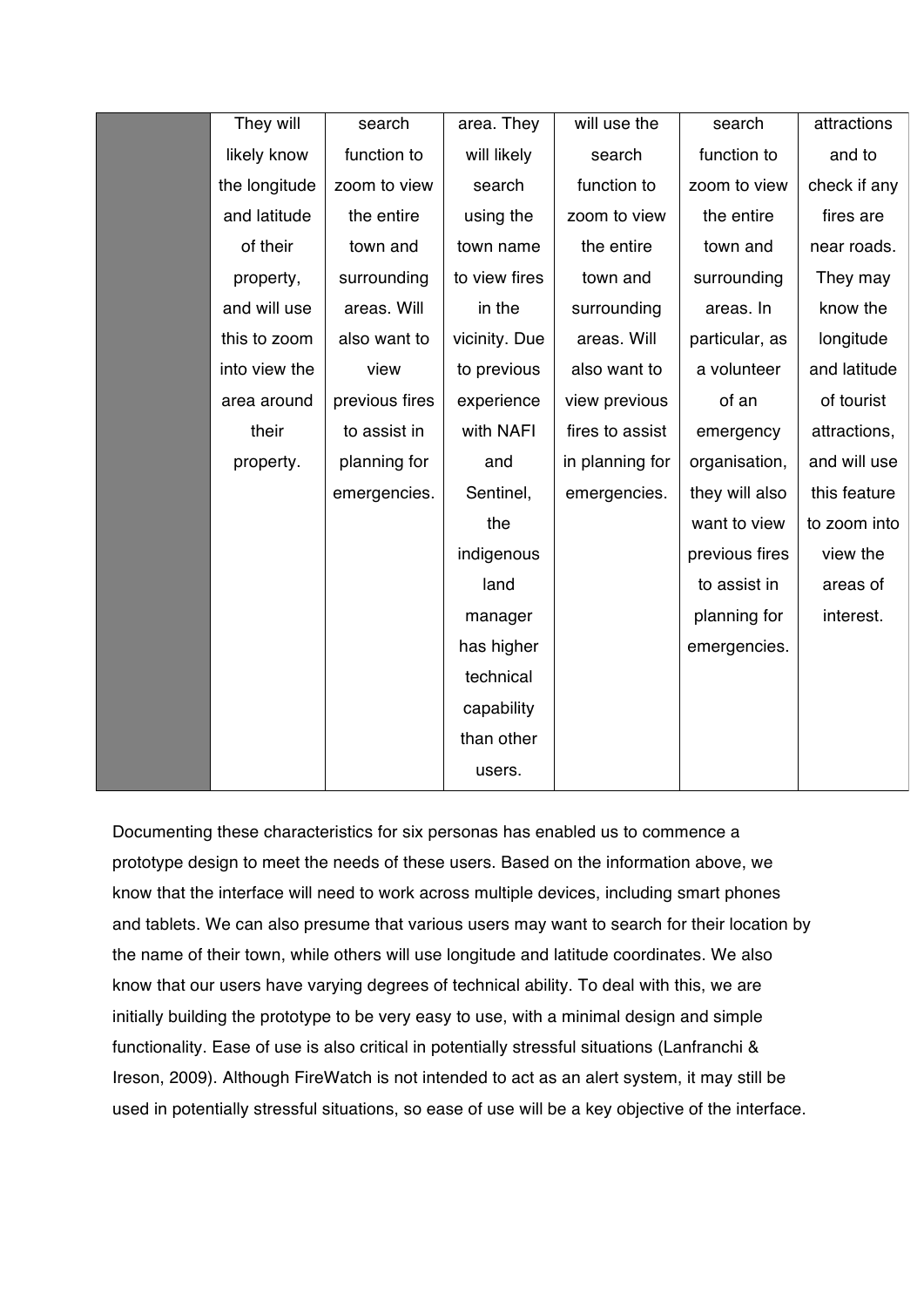| They will     | search         | area. They    | will use the    | search         | attractions  |
|---------------|----------------|---------------|-----------------|----------------|--------------|
| likely know   | function to    | will likely   | search          | function to    | and to       |
| the longitude | zoom to view   | search        | function to     | zoom to view   | check if any |
| and latitude  | the entire     | using the     | zoom to view    | the entire     | fires are    |
| of their      | town and       | town name     | the entire      | town and       | near roads.  |
| property,     | surrounding    | to view fires | town and        | surrounding    | They may     |
| and will use  | areas. Will    | in the        | surrounding     | areas. In      | know the     |
| this to zoom  | also want to   | vicinity. Due | areas. Will     | particular, as | longitude    |
| into view the | view           | to previous   | also want to    | a volunteer    | and latitude |
| area around   | previous fires | experience    | view previous   | of an          | of tourist   |
| their         | to assist in   | with NAFI     | fires to assist | emergency      | attractions, |
| property.     | planning for   | and           | in planning for | organisation,  | and will use |
|               | emergencies.   | Sentinel,     | emergencies.    | they will also | this feature |
|               |                | the           |                 | want to view   | to zoom into |
|               |                | indigenous    |                 | previous fires | view the     |
|               |                | land          |                 | to assist in   | areas of     |
|               |                | manager       |                 | planning for   | interest.    |
|               |                | has higher    |                 | emergencies.   |              |
|               |                | technical     |                 |                |              |
|               |                | capability    |                 |                |              |
|               |                | than other    |                 |                |              |
|               |                | users.        |                 |                |              |

Documenting these characteristics for six personas has enabled us to commence a prototype design to meet the needs of these users. Based on the information above, we know that the interface will need to work across multiple devices, including smart phones and tablets. We can also presume that various users may want to search for their location by the name of their town, while others will use longitude and latitude coordinates. We also know that our users have varying degrees of technical ability. To deal with this, we are initially building the prototype to be very easy to use, with a minimal design and simple functionality. Ease of use is also critical in potentially stressful situations (Lanfranchi & Ireson, 2009). Although FireWatch is not intended to act as an alert system, it may still be used in potentially stressful situations, so ease of use will be a key objective of the interface.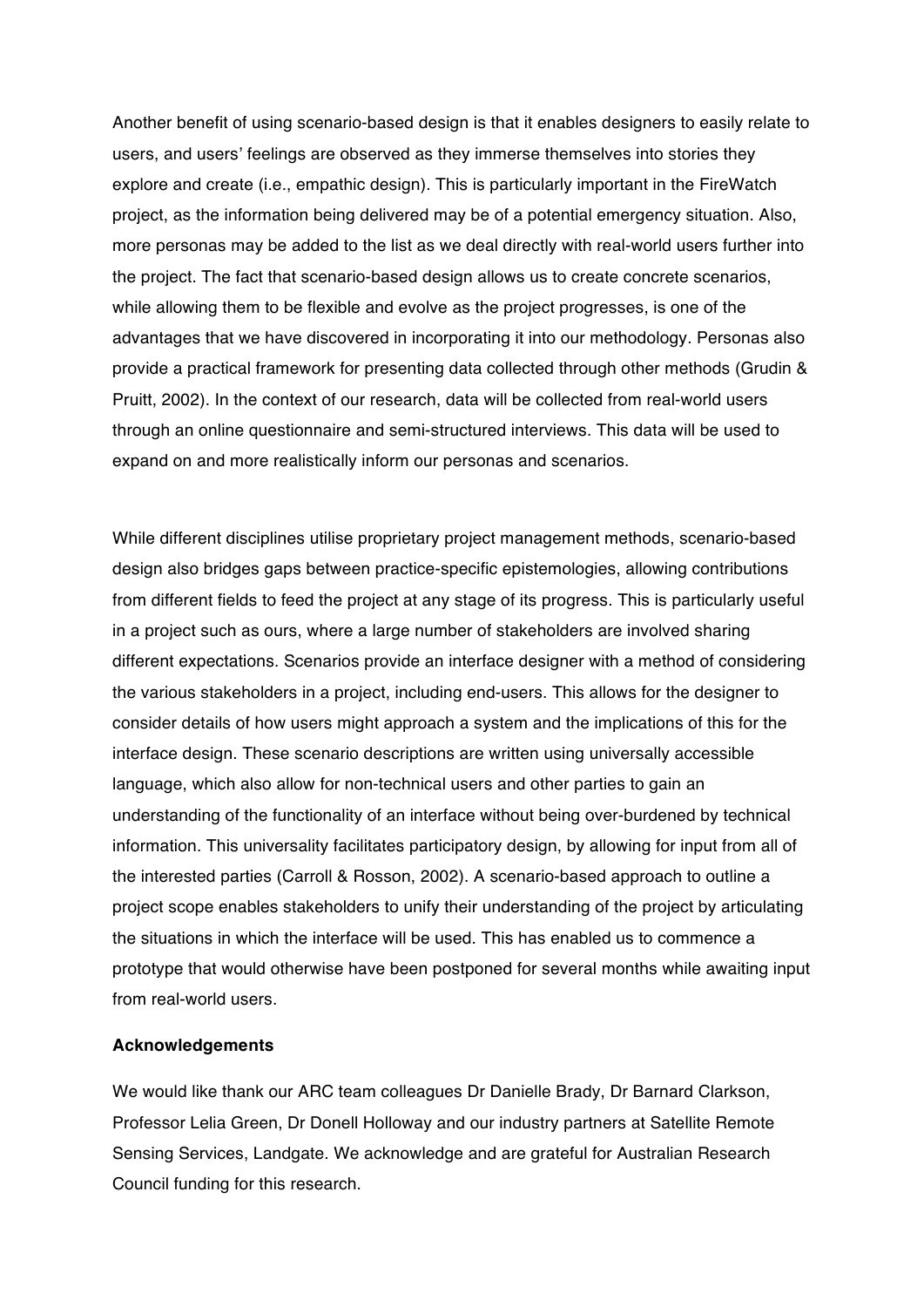Another benefit of using scenario-based design is that it enables designers to easily relate to users, and users' feelings are observed as they immerse themselves into stories they explore and create (i.e., empathic design). This is particularly important in the FireWatch project, as the information being delivered may be of a potential emergency situation. Also, more personas may be added to the list as we deal directly with real-world users further into the project. The fact that scenario-based design allows us to create concrete scenarios, while allowing them to be flexible and evolve as the project progresses, is one of the advantages that we have discovered in incorporating it into our methodology. Personas also provide a practical framework for presenting data collected through other methods (Grudin & Pruitt, 2002). In the context of our research, data will be collected from real-world users through an online questionnaire and semi-structured interviews. This data will be used to expand on and more realistically inform our personas and scenarios.

While different disciplines utilise proprietary project management methods, scenario-based design also bridges gaps between practice-specific epistemologies, allowing contributions from different fields to feed the project at any stage of its progress. This is particularly useful in a project such as ours, where a large number of stakeholders are involved sharing different expectations. Scenarios provide an interface designer with a method of considering the various stakeholders in a project, including end-users. This allows for the designer to consider details of how users might approach a system and the implications of this for the interface design. These scenario descriptions are written using universally accessible language, which also allow for non-technical users and other parties to gain an understanding of the functionality of an interface without being over-burdened by technical information. This universality facilitates participatory design, by allowing for input from all of the interested parties (Carroll & Rosson, 2002). A scenario-based approach to outline a project scope enables stakeholders to unify their understanding of the project by articulating the situations in which the interface will be used. This has enabled us to commence a prototype that would otherwise have been postponed for several months while awaiting input from real-world users.

## **Acknowledgements**

We would like thank our ARC team colleagues Dr Danielle Brady, Dr Barnard Clarkson, Professor Lelia Green, Dr Donell Holloway and our industry partners at Satellite Remote Sensing Services, Landgate. We acknowledge and are grateful for Australian Research Council funding for this research.